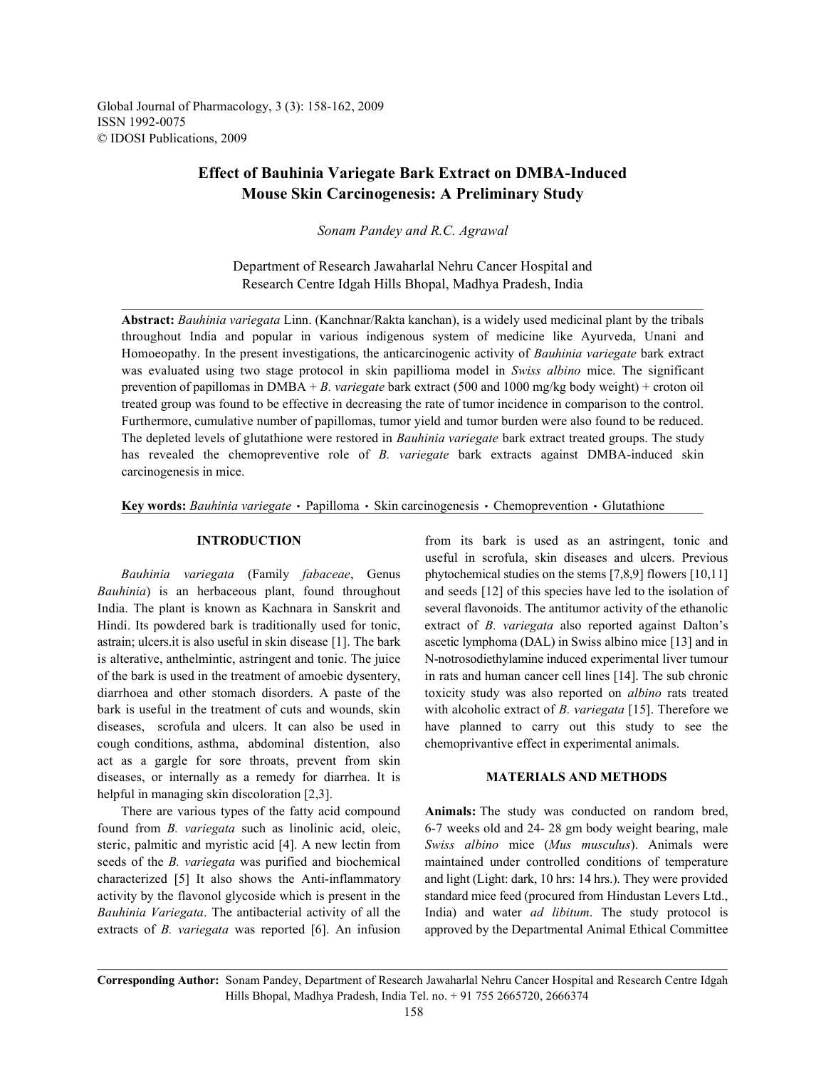Global Journal of Pharmacology, 3 (3): 158-162, 2009 ISSN 1992-0075 © IDOSI Publications, 2009

# **Effect of Bauhinia Variegate Bark Extract on DMBA-Induced Mouse Skin Carcinogenesis: A Preliminary Study**

*Sonam Pandey and R.C. Agrawal*

Department of Research Jawaharlal Nehru Cancer Hospital and Research Centre Idgah Hills Bhopal, Madhya Pradesh, India

**Abstract:** *Bauhinia variegata* Linn. (Kanchnar/Rakta kanchan), is a widely used medicinal plant by the tribals throughout India and popular in various indigenous system of medicine like Ayurveda, Unani and Homoeopathy. In the present investigations, the anticarcinogenic activity of *Bauhinia variegate* bark extract was evaluated using two stage protocol in skin papillioma model in *Swiss albino* mice. The significant prevention of papillomas in DMBA + *B. variegate* bark extract (500 and 1000 mg/kg body weight) + croton oil treated group was found to be effective in decreasing the rate of tumor incidence in comparison to the control. Furthermore, cumulative number of papillomas, tumor yield and tumor burden were also found to be reduced. The depleted levels of glutathione were restored in *Bauhinia variegate* bark extract treated groups. The study has revealed the chemopreventive role of *B. variegate* bark extracts against DMBA-induced skin carcinogenesis in mice.

Key words: *Bauhinia variegate* · Papilloma · Skin carcinogenesis · Chemoprevention · Glutathione

*Bauhinia*) is an herbaceous plant, found throughout and seeds [12] of this species have led to the isolation of India. The plant is known as Kachnara in Sanskrit and several flavonoids. The antitumor activity of the ethanolic Hindi. Its powdered bark is traditionally used for tonic, extract of *B. variegata* also reported against Dalton's astrain; ulcers.it is also useful in skin disease [1]. The bark ascetic lymphoma (DAL) in Swiss albino mice [13] and in is alterative, anthelmintic, astringent and tonic. The juice N-notrosodiethylamine induced experimental liver tumour of the bark is used in the treatment of amoebic dysentery, in rats and human cancer cell lines [14]. The sub chronic diarrhoea and other stomach disorders. A paste of the toxicity study was also reported on *albino* rats treated bark is useful in the treatment of cuts and wounds, skin with alcoholic extract of *B. variegata* [15]. Therefore we diseases, scrofula and ulcers. It can also be used in have planned to carry out this study to see the cough conditions, asthma, abdominal distention, also chemoprivantive effect in experimental animals. act as a gargle for sore throats, prevent from skin diseases, or internally as a remedy for diarrhea. It is **MATERIALS AND METHODS** helpful in managing skin discoloration [2,3].

found from *B. variegata* such as linolinic acid, oleic, 6-7 weeks old and 24- 28 gm body weight bearing, male steric, palmitic and myristic acid [4]. A new lectin from *Swiss albino* mice (*Mus musculus*). Animals were seeds of the *B. variegata* was purified and biochemical maintained under controlled conditions of temperature characterized [5] It also shows the Anti-inflammatory and light (Light: dark, 10 hrs: 14 hrs.). They were provided activity by the flavonol glycoside which is present in the standard mice feed (procured from Hindustan Levers Ltd., *Bauhinia Variegata*. The antibacterial activity of all the India) and water *ad libitum*. The study protocol is extracts of *B. variegata* was reported [6]. An infusion approved by the Departmental Animal Ethical Committee

**INTRODUCTION** from its bark is used as an astringent, tonic and *Bauhinia variegata* (Family *fabaceae*, Genus phytochemical studies on the stems [7,8,9] flowers [10,11] useful in scrofula, skin diseases and ulcers. Previous

There are various types of the fatty acid compound **Animals:** The study was conducted on random bred,

**Corresponding Author:** Sonam Pandey, Department of Research Jawaharlal Nehru Cancer Hospital and Research Centre Idgah Hills Bhopal, Madhya Pradesh, India Tel. no. + 91 755 2665720, 2666374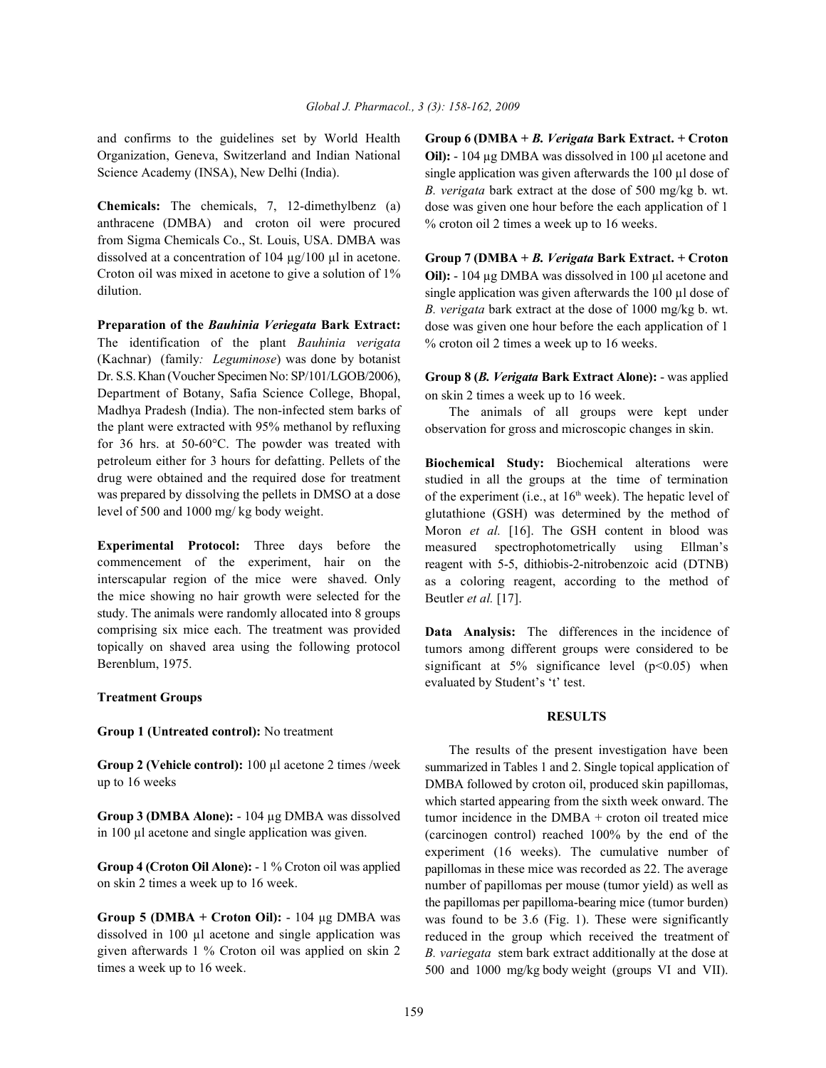Organization, Geneva, Switzerland and Indian National Science Academy (INSA), New Delhi (India).

**Chemicals:** The chemicals, 7, 12-dimethylbenz (a) anthracene (DMBA) and croton oil were procured from Sigma Chemicals Co., St. Louis, USA. DMBA was dissolved at a concentration of 104 µg/100 µl in acetone. Croton oil was mixed in acetone to give a solution of 1% dilution.

**Preparation of the** *Bauhinia Veriegata* **Bark Extract:** The identification of the plant *Bauhinia verigata* (Kachnar) (family*: Leguminose*) was done by botanist Dr. S.S. Khan (Voucher Specimen No: SP/101/LGOB/2006), Department of Botany, Safia Science College, Bhopal, Madhya Pradesh (India). The non-infected stem barks of the plant were extracted with 95% methanol by refluxing for 36 hrs. at 50-60°C. The powder was treated with petroleum either for 3 hours for defatting. Pellets of the drug were obtained and the required dose for treatment was prepared by dissolving the pellets in DMSO at a dose level of 500 and 1000 mg/ kg body weight.

**Experimental Protocol:** Three days before the commencement of the experiment, hair on the interscapular region of the mice were shaved. Only the mice showing no hair growth were selected for the study. The animals were randomly allocated into 8 groups comprising six mice each. The treatment was provided topically on shaved area using the following protocol Berenblum, 1975.

# **Treatment Groups**

**Group 1 (Untreated control):** No treatment

**Group 2 (Vehicle control):** 100 µl acetone 2 times /week up to 16 weeks

**Group 3 (DMBA Alone):** - 104 µg DMBA was dissolved in 100 µl acetone and single application was given.

**Group 4 (Croton Oil Alone):** - 1 % Croton oil was applied on skin 2 times a week up to 16 week.

**Group 5 (DMBA + Croton Oil):** - 104 µg DMBA was dissolved in 100 µl acetone and single application was given afterwards 1 % Croton oil was applied on skin 2 times a week up to 16 week.

and confirms to the guidelines set by World Health **Group 6 (DMBA +** *B. Verigata* **Bark Extract. + Croton Oil):** - 104 µg DMBA was dissolved in 100 µl acetone and single application was given afterwards the 100 µl dose of *B. verigata* bark extract at the dose of 500 mg/kg b. wt. dose was given one hour before the each application of 1 % croton oil 2 times a week up to 16 weeks.

> **Group 7 (DMBA +** *B. Verigata* **Bark Extract. + Croton Oil):** - 104 µg DMBA was dissolved in 100 µl acetone and single application was given afterwards the 100 µl dose of *B. verigata* bark extract at the dose of 1000 mg/kg b. wt. dose was given one hour before the each application of 1 % croton oil 2 times a week up to 16 weeks.

> **Group 8 (***B. Verigata* **Bark Extract Alone):** - was applied on skin 2 times a week up to 16 week.

> The animals of all groups were kept under observation for gross and microscopic changes in skin.

> **Biochemical Study:** Biochemical alterations were studied in all the groups at the time of termination of the experiment (i.e., at  $16<sup>th</sup>$  week). The hepatic level of glutathione (GSH) was determined by the method of Moron *et al.* [16]. The GSH content in blood was measured spectrophotometrically using Ellman's reagent with 5-5, dithiobis-2-nitrobenzoic acid (DTNB) as a coloring reagent, according to the method of Beutler *et al.* [17].

> **Data Analysis:** The differences in the incidence of tumors among different groups were considered to be significant at  $5\%$  significance level ( $p<0.05$ ) when evaluated by Student's 't' test.

## **RESULTS**

The results of the present investigation have been summarized in Tables 1 and 2. Single topical application of DMBA followed by croton oil, produced skin papillomas, which started appearing from the sixth week onward. The tumor incidence in the DMBA + croton oil treated mice (carcinogen control) reached 100% by the end of the experiment (16 weeks). The cumulative number of papillomas in these mice was recorded as 22. The average number of papillomas per mouse (tumor yield) as well as the papillomas per papilloma-bearing mice (tumor burden) was found to be 3.6 (Fig. 1). These were significantly reduced in the group which received the treatment of *B. variegata* stem bark extract additionally at the dose at 500 and 1000 mg/kg body weight (groups VI and VII).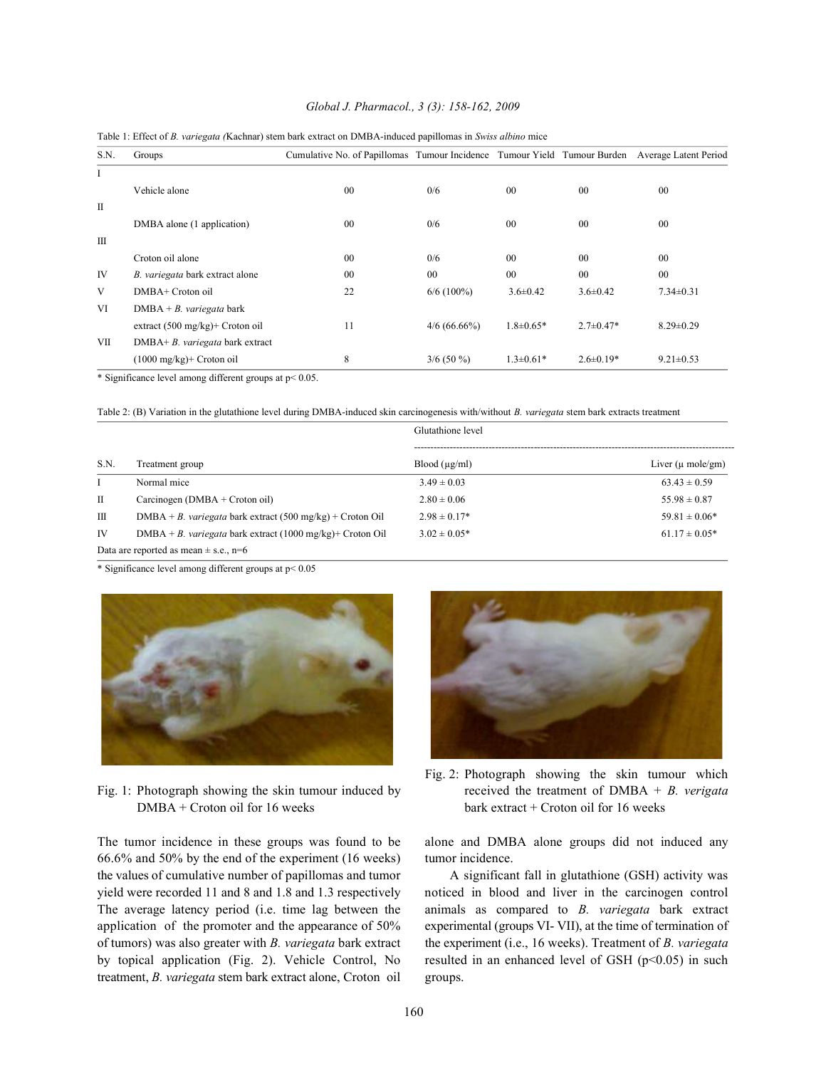### *Global J. Pharmacol., 3 (3): 158-162, 2009*

| S.N.         | Groups                                     | Cumulative No. of Papillomas Tumour Incidence Tumour Yield Tumour Burden Average Latent Period |                |                 |                 |                 |
|--------------|--------------------------------------------|------------------------------------------------------------------------------------------------|----------------|-----------------|-----------------|-----------------|
|              |                                            |                                                                                                |                |                 |                 |                 |
| I            |                                            |                                                                                                |                |                 |                 |                 |
|              | Vehicle alone                              | 00                                                                                             | 0/6            | $00\,$          | $00\,$          | $00\,$          |
| $\mathbf{I}$ |                                            |                                                                                                |                |                 |                 |                 |
|              | DMBA alone (1 application)                 | $00\,$                                                                                         | 0/6            | 0 <sub>0</sub>  | $00\,$          | $00\,$          |
| $\mathbf{H}$ |                                            |                                                                                                |                |                 |                 |                 |
|              | Croton oil alone                           | 00                                                                                             | 0/6            | 0 <sup>0</sup>  | $00\,$          | $00\,$          |
| IV           | B. variegata bark extract alone            | $00\,$                                                                                         | 00             | 0 <sub>0</sub>  | 00              | $00\,$          |
| V            | DMBA+ Croton oil                           | 22                                                                                             | $6/6$ (100%)   | $3.6 \pm 0.42$  | $3.6 \pm 0.42$  | $7.34 \pm 0.31$ |
| VI           | $DMBA + B.$ variegata bark                 |                                                                                                |                |                 |                 |                 |
|              | extract $(500 \text{ mg/kg})$ + Croton oil | 11                                                                                             | $4/6$ (66.66%) | $1.8 \pm 0.65*$ | $2.7 \pm 0.47*$ | $8.29 \pm 0.29$ |
| VII          | DMBA+ B. variegata bark extract            |                                                                                                |                |                 |                 |                 |
|              | $(1000 \text{ mg/kg})$ Croton oil          | 8                                                                                              | $3/6$ (50 %)   | $1.3 \pm 0.61*$ | $2.6 \pm 0.19*$ | $9.21 \pm 0.53$ |

### Table 1: Effect of *B. variegata (*Kachnar) stem bark extract on DMBA-induced papillomas in *Swiss albino* mice

\* Significance level among different groups at p< 0.05.

Table 2: (B) Variation in the glutathione level during DMBA-induced skin carcinogenesis with/without *B. variegata* stem bark extracts treatment

|              |                                                              | Glutathione level |                               |  |
|--------------|--------------------------------------------------------------|-------------------|-------------------------------|--|
| S.N.         | Treatment group                                              | Blood (µg/ml)     | Liver $(\mu \text{ mole/gm})$ |  |
|              | Normal mice                                                  | $3.49 \pm 0.03$   | $63.43 \pm 0.59$              |  |
| $\mathbf{H}$ | Carcinogen (DMBA + Croton oil)                               | $2.80 \pm 0.06$   | $55.98 \pm 0.87$              |  |
| Ш            | $DMBA + B$ . variegata bark extract (500 mg/kg) + Croton Oil | $2.98 \pm 0.17*$  | $59.81 \pm 0.06*$             |  |
| <b>IV</b>    | DMBA + B. variegata bark extract (1000 mg/kg)+ Croton Oil    | $3.02 \pm 0.05*$  | $61.17 \pm 0.05*$             |  |
|              | Data are reported as mean $\pm$ s.e., n=6                    |                   |                               |  |

\* Significance level among different groups at p< 0.05



DMBA + Croton oil for 16 weeks bark extract + Croton oil for 16 weeks

66.6% and 50% by the end of the experiment (16 weeks) tumor incidence. the values of cumulative number of papillomas and tumor A significant fall in glutathione (GSH) activity was yield were recorded 11 and 8 and 1.8 and 1.3 respectively noticed in blood and liver in the carcinogen control The average latency period (i.e. time lag between the animals as compared to *B. variegata* bark extract application of the promoter and the appearance of 50% experimental (groups VI- VII), at the time of termination of of tumors) was also greater with *B. variegata* bark extract the experiment (i.e., 16 weeks). Treatment of *B. variegata* by topical application (Fig. 2). Vehicle Control, No resulted in an enhanced level of GSH ( $p<0.05$ ) in such treatment, *B. variegata* stem bark extract alone, Croton oil groups.



Fig. 1: Photograph showing the skin tumour induced by received the treatment of DMBA + *B. verigata* Fig. 2: Photograph showing the skin tumour which

The tumor incidence in these groups was found to be alone and DMBA alone groups did not induced any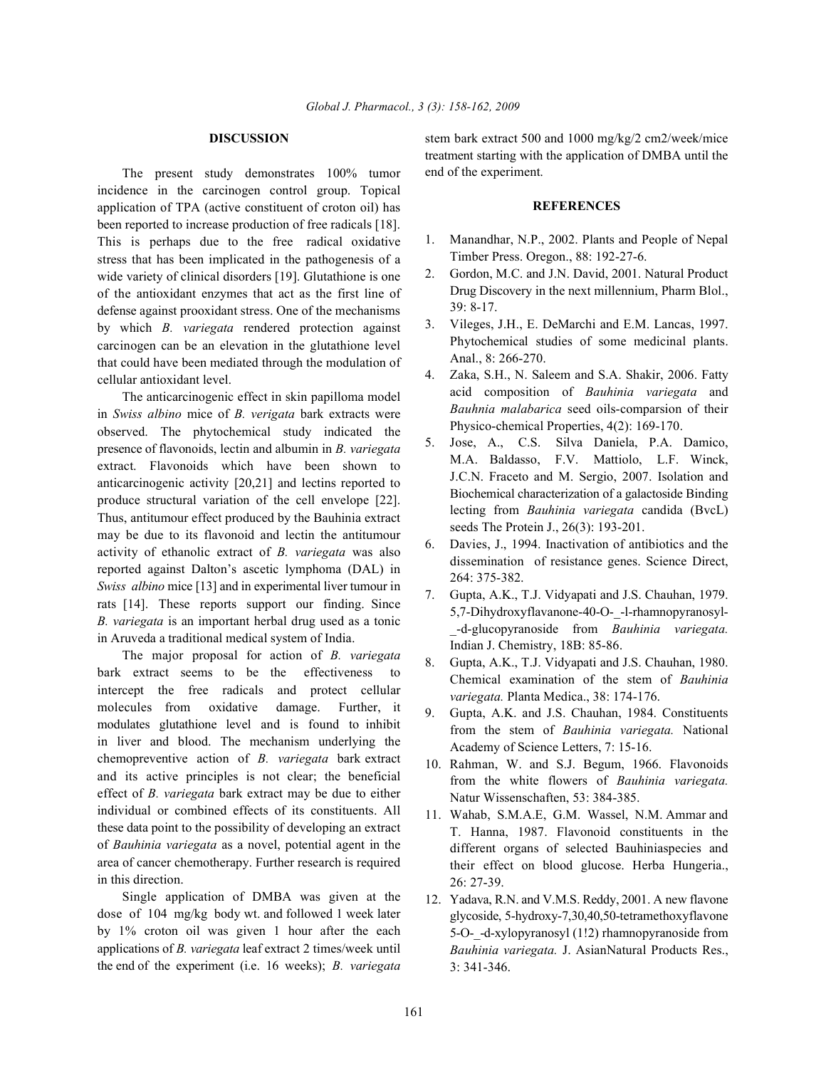The present study demonstrates 100% tumor incidence in the carcinogen control group. Topical application of TPA (active constituent of croton oil) has been reported to increase production of free radicals [18]. This is perhaps due to the free radical oxidative stress that has been implicated in the pathogenesis of a wide variety of clinical disorders [19]. Glutathione is one of the antioxidant enzymes that act as the first line of defense against prooxidant stress. One of the mechanisms by which *B. variegata* rendered protection against carcinogen can be an elevation in the glutathione level that could have been mediated through the modulation of cellular antioxidant level.

The anticarcinogenic effect in skin papilloma model in *Swiss albino* mice of *B. verigata* bark extracts were observed. The phytochemical study indicated the presence of flavonoids, lectin and albumin in *B. variegata* extract. Flavonoids which have been shown to anticarcinogenic activity [20,21] and lectins reported to produce structural variation of the cell envelope [22]. Thus, antitumour effect produced by the Bauhinia extract may be due to its flavonoid and lectin the antitumour activity of ethanolic extract of *B. variegata* was also reported against Dalton's ascetic lymphoma (DAL) in *Swiss albino* mice [13] and in experimental liver tumour in rats [14]. These reports support our finding. Since *B. variegata* is an important herbal drug used as a tonic in Aruveda a traditional medical system of India.

The major proposal for action of *B. variegata* bark extract seems to be the effectiveness to intercept the free radicals and protect cellular molecules from oxidative damage. Further, it modulates glutathione level and is found to inhibit in liver and blood. The mechanism underlying the chemopreventive action of *B. variegata* bark extract and its active principles is not clear; the beneficial effect of *B. variegata* bark extract may be due to either individual or combined effects of its constituents. All these data point to the possibility of developing an extract of *Bauhinia variegata* as a novel, potential agent in the area of cancer chemotherapy. Further research is required in this direction.

Single application of DMBA was given at the dose of 104 mg/kg body wt. and followed 1 week later by 1% croton oil was given 1 hour after the each applications of *B. variegata* leaf extract 2 times/week until the end of the experiment (i.e. 16 weeks); *B. variegata*

**DISCUSSION** stem bark extract 500 and 1000 mg/kg/2 cm2/week/mice treatment starting with the application of DMBA until the end of the experiment.

### **REFERENCES**

- 1. Manandhar, N.P., 2002. Plants and People of Nepal Timber Press. Oregon., 88: 192-27-6.
- 2. Gordon, M.C. and J.N. David, 2001. Natural Product Drug Discovery in the next millennium, Pharm Blol., 39: 8-17.
- 3. Vileges, J.H., E. DeMarchi and E.M. Lancas, 1997. Phytochemical studies of some medicinal plants. Anal., 8: 266-270.
- 4. Zaka, S.H., N. Saleem and S.A. Shakir, 2006. Fatty acid composition of *Bauhinia variegata* and *Bauhnia malabarica* seed oils-comparsion of their Physico-chemical Properties, 4(2): 169-170.
- 5. Jose, A., C.S. Silva Daniela, P.A. Damico, M.A. Baldasso, F.V. Mattiolo, L.F. Winck, J.C.N. Fraceto and M. Sergio, 2007. Isolation and Biochemical characterization of a galactoside Binding lecting from *Bauhinia variegata* candida (BvcL) seeds The Protein J., 26(3): 193-201.
- 6. Davies, J., 1994. Inactivation of antibiotics and the dissemination of resistance genes. Science Direct, 264: 375-382.
- 7. Gupta, A.K., T.J. Vidyapati and J.S. Chauhan, 1979. 5,7-Dihydroxyflavanone-40-O-\_-l-rhamnopyranosyl- \_-d-glucopyranoside from *Bauhinia variegata.* Indian J. Chemistry, 18B: 85-86.
- 8. Gupta, A.K., T.J. Vidyapati and J.S. Chauhan, 1980. Chemical examination of the stem of *Bauhinia variegata.* Planta Medica., 38: 174-176.
- 9. Gupta, A.K. and J.S. Chauhan, 1984. Constituents from the stem of *Bauhinia variegata.* National Academy of Science Letters, 7: 15-16.
- 10. Rahman, W. and S.J. Begum, 1966. Flavonoids from the white flowers of *Bauhinia variegata.* Natur Wissenschaften, 53: 384-385.
- 11. Wahab, S.M.A.E, G.M. Wassel, N.M. Ammar and T. Hanna, 1987. Flavonoid constituents in the different organs of selected Bauhiniaspecies and their effect on blood glucose. Herba Hungeria., 26: 27-39.
- 12. Yadava, R.N. and V.M.S. Reddy, 2001. A new flavone glycoside, 5-hydroxy-7,30,40,50-tetramethoxyflavone 5-O-\_-d-xylopyranosyl (1!2) rhamnopyranoside from *Bauhinia variegata.* J. AsianNatural Products Res., 3: 341-346.